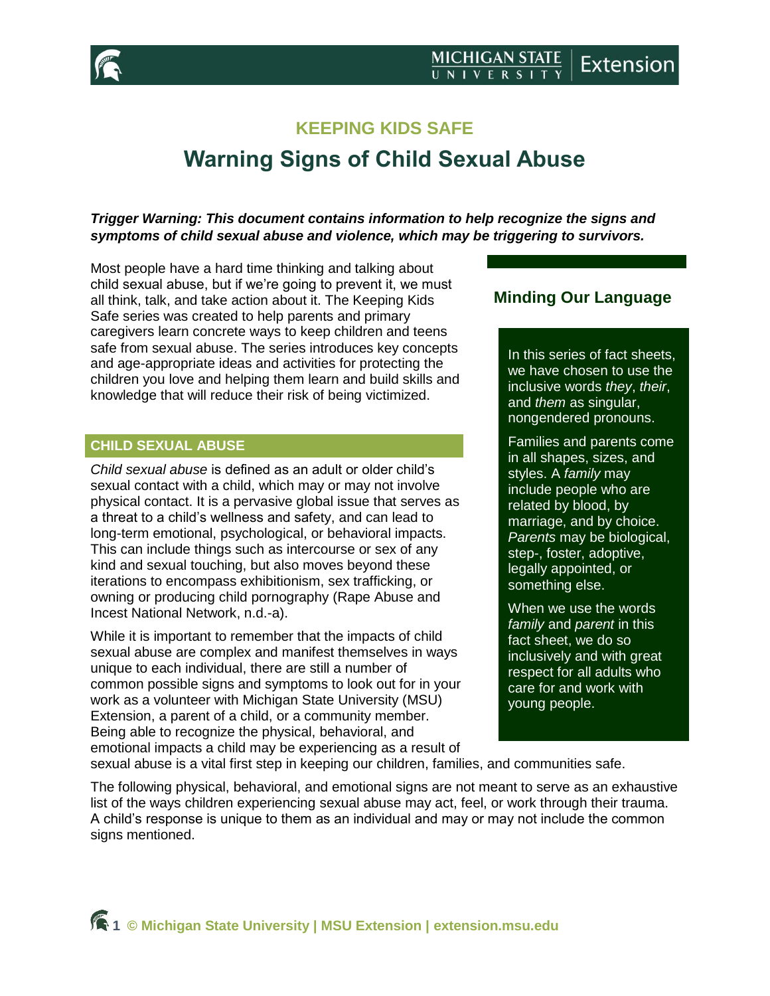

## **KEEPING KIDS SAFE**

# **Warning Signs of Child Sexual Abuse**

## *Trigger Warning: This document contains information to help recognize the signs and symptoms of child sexual abuse and violence, which may be triggering to survivors.*

Most people have a hard time thinking and talking about child sexual abuse, but if we're going to prevent it, we must all think, talk, and take action about it. The Keeping Kids Safe series was created to help parents and primary caregivers learn concrete ways to keep children and teens safe from sexual abuse. The series introduces key concepts and age-appropriate ideas and activities for protecting the children you love and helping them learn and build skills and knowledge that will reduce their risk of being victimized.

## **CHILD SEXUAL ABUSE**

*Child sexual abuse* is defined as an adult or older child's sexual contact with a child, which may or may not involve physical contact. It is a pervasive global issue that serves as a threat to a child's wellness and safety, and can lead to long-term emotional, psychological, or behavioral impacts. This can include things such as intercourse or sex of any kind and sexual touching, but also moves beyond these iterations to encompass exhibitionism, sex trafficking, or owning or producing child pornography (Rape Abuse and Incest National Network, n.d.-a).

While it is important to remember that the impacts of child sexual abuse are complex and manifest themselves in ways unique to each individual, there are still a number of common possible signs and symptoms to look out for in your work as a volunteer with Michigan State University (MSU) Extension, a parent of a child, or a community member. Being able to recognize the physical, behavioral, and emotional impacts a child may be experiencing as a result of

## **Minding Our Language**

In this series of fact sheets, we have chosen to use the inclusive words *they*, *their*, and *them* as singular, nongendered pronouns.

Families and parents come in all shapes, sizes, and styles. A *family* may include people who are related by blood, by marriage, and by choice. *Parents* may be biological, step-, foster, adoptive, legally appointed, or something else.

When we use the words *family* and *parent* in this fact sheet, we do so inclusively and with great respect for all adults who care for and work with young people.

sexual abuse is a vital first step in keeping our children, families, and communities safe.

The following physical, behavioral, and emotional signs are not meant to serve as an exhaustive list of the ways children experiencing sexual abuse may act, feel, or work through their trauma. A child's response is unique to them as an individual and may or may not include the common signs mentioned.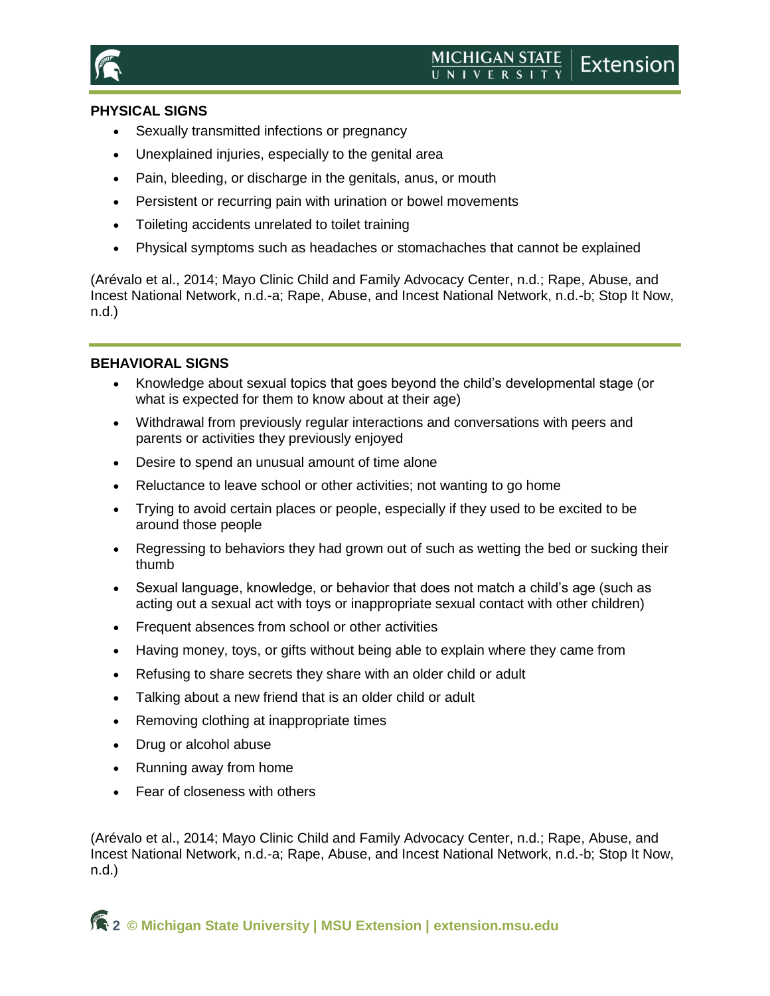

## **PHYSICAL SIGNS**

- Sexually transmitted infections or pregnancy
- Unexplained injuries, especially to the genital area
- Pain, bleeding, or discharge in the genitals, anus, or mouth
- **•** Persistent or recurring pain with urination or bowel movements
- Toileting accidents unrelated to toilet training
- Physical symptoms such as headaches or stomachaches that cannot be explained

(Arévalo et al., 2014; Mayo Clinic Child and Family Advocacy Center, n.d.; Rape, Abuse, and Incest National Network, n.d.-a; Rape, Abuse, and Incest National Network, n.d.-b; Stop It Now, n.d.)

## **BEHAVIORAL SIGNS**

- Knowledge about sexual topics that goes beyond the child's developmental stage (or what is expected for them to know about at their age)
- Withdrawal from previously regular interactions and conversations with peers and parents or activities they previously enjoyed
- Desire to spend an unusual amount of time alone
- Reluctance to leave school or other activities; not wanting to go home
- Trying to avoid certain places or people, especially if they used to be excited to be around those people
- Regressing to behaviors they had grown out of such as wetting the bed or sucking their thumb
- Sexual language, knowledge, or behavior that does not match a child's age (such as acting out a sexual act with toys or inappropriate sexual contact with other children)
- Frequent absences from school or other activities
- Having money, toys, or gifts without being able to explain where they came from
- Refusing to share secrets they share with an older child or adult
- Talking about a new friend that is an older child or adult
- Removing clothing at inappropriate times
- Drug or alcohol abuse
- Running away from home
- Fear of closeness with others

(Arévalo et al., 2014; Mayo Clinic Child and Family Advocacy Center, n.d.; Rape, Abuse, and Incest National Network, n.d.-a; Rape, Abuse, and Incest National Network, n.d.-b; Stop It Now, n.d.)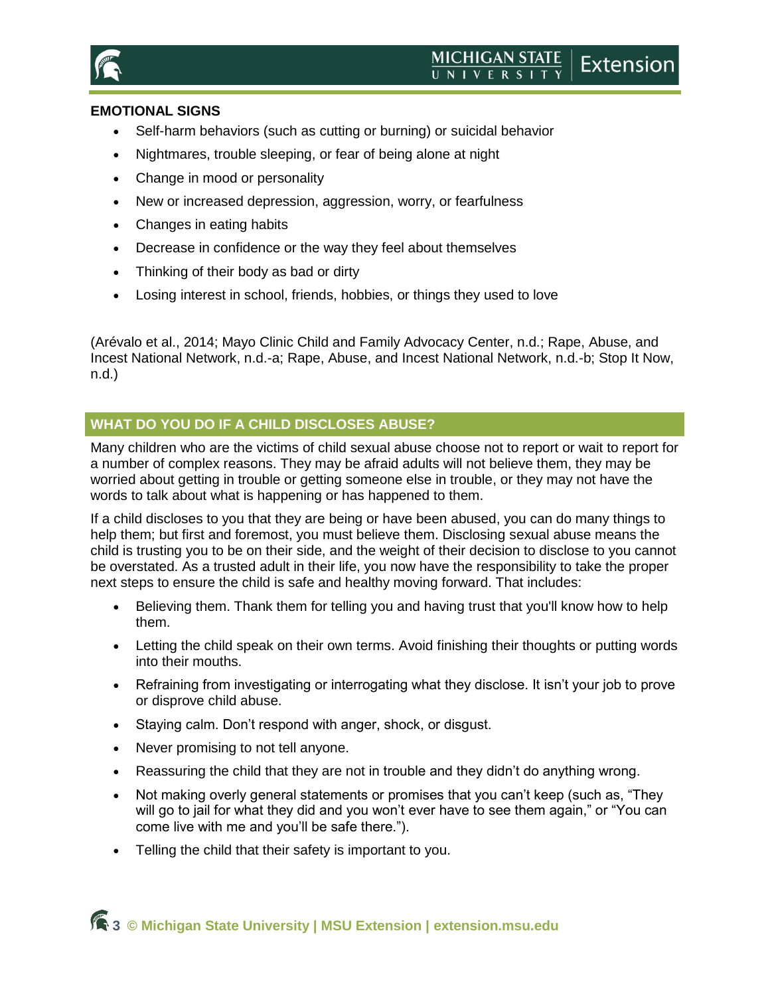

## **EMOTIONAL SIGNS**

- Self-harm behaviors (such as cutting or burning) or suicidal behavior
- Nightmares, trouble sleeping, or fear of being alone at night
- Change in mood or personality
- New or increased depression, aggression, worry, or fearfulness
- Changes in eating habits
- Decrease in confidence or the way they feel about themselves
- Thinking of their body as bad or dirty
- Losing interest in school, friends, hobbies, or things they used to love

(Arévalo et al., 2014; Mayo Clinic Child and Family Advocacy Center, n.d.; Rape, Abuse, and Incest National Network, n.d.-a; Rape, Abuse, and Incest National Network, n.d.-b; Stop It Now, n.d.)

## **WHAT DO YOU DO IF A CHILD DISCLOSES ABUSE?**

Many children who are the victims of child sexual abuse choose not to report or wait to report for a number of complex reasons. They may be afraid adults will not believe them, they may be worried about getting in trouble or getting someone else in trouble, or they may not have the words to talk about what is happening or has happened to them.

If a child discloses to you that they are being or have been abused, you can do many things to help them; but first and foremost, you must believe them. Disclosing sexual abuse means the child is trusting you to be on their side, and the weight of their decision to disclose to you cannot be overstated. As a trusted adult in their life, you now have the responsibility to take the proper next steps to ensure the child is safe and healthy moving forward. That includes:

- Believing them. Thank them for telling you and having trust that you'll know how to help them.
- Letting the child speak on their own terms. Avoid finishing their thoughts or putting words into their mouths.
- Refraining from investigating or interrogating what they disclose. It isn't your job to prove or disprove child abuse.
- Staying calm. Don't respond with anger, shock, or disgust.
- Never promising to not tell anyone.
- Reassuring the child that they are not in trouble and they didn't do anything wrong.
- Not making overly general statements or promises that you can't keep (such as, "They will go to jail for what they did and you won't ever have to see them again," or "You can come live with me and you'll be safe there.").
- Telling the child that their safety is important to you.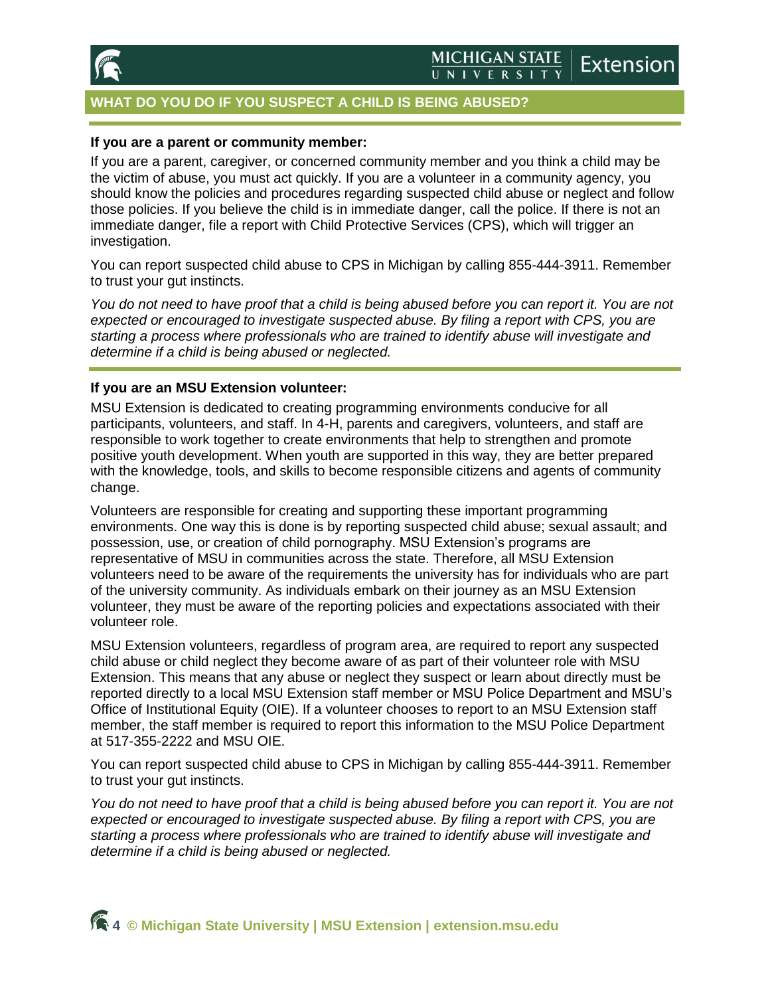

## **WHAT DO YOU DO IF YOU SUSPECT A CHILD IS BEING ABUSED?**

#### **If you are a parent or community member:**

If you are a parent, caregiver, or concerned community member and you think a child may be the victim of abuse, you must act quickly. If you are a volunteer in a community agency, you should know the policies and procedures regarding suspected child abuse or neglect and follow those policies. If you believe the child is in immediate danger, call the police. If there is not an immediate danger, file a report with Child Protective Services (CPS), which will trigger an investigation.

You can report suspected child abuse to CPS in Michigan by calling 855-444-3911. Remember to trust your gut instincts.

You do not need to have proof that a child is being abused before you can report it. You are not *expected or encouraged to investigate suspected abuse. By filing a report with CPS, you are starting a process where professionals who are trained to identify abuse will investigate and determine if a child is being abused or neglected.*

#### **If you are an MSU Extension volunteer:**

MSU Extension is dedicated to creating programming environments conducive for all participants, volunteers, and staff. In 4-H, parents and caregivers, volunteers, and staff are responsible to work together to create environments that help to strengthen and promote positive youth development. When youth are supported in this way, they are better prepared with the knowledge, tools, and skills to become responsible citizens and agents of community change.

Volunteers are responsible for creating and supporting these important programming environments. One way this is done is by reporting suspected child abuse; sexual assault; and possession, use, or creation of child pornography. MSU Extension's programs are representative of MSU in communities across the state. Therefore, all MSU Extension volunteers need to be aware of the requirements the university has for individuals who are part of the university community. As individuals embark on their journey as an MSU Extension volunteer, they must be aware of the reporting policies and expectations associated with their volunteer role.

MSU Extension volunteers, regardless of program area, are required to report any suspected child abuse or child neglect they become aware of as part of their volunteer role with MSU Extension. This means that any abuse or neglect they suspect or learn about directly must be reported directly to a local MSU Extension staff member or MSU Police Department and MSU's Office of Institutional Equity (OIE). If a volunteer chooses to report to an MSU Extension staff member, the staff member is required to report this information to the MSU Police Department at 517-355-2222 and MSU OIE.

You can report suspected child abuse to CPS in Michigan by calling 855-444-3911. Remember to trust your gut instincts.

*You do not need to have proof that a child is being abused before you can report it. You are not expected or encouraged to investigate suspected abuse. By filing a report with CPS, you are starting a process where professionals who are trained to identify abuse will investigate and determine if a child is being abused or neglected.*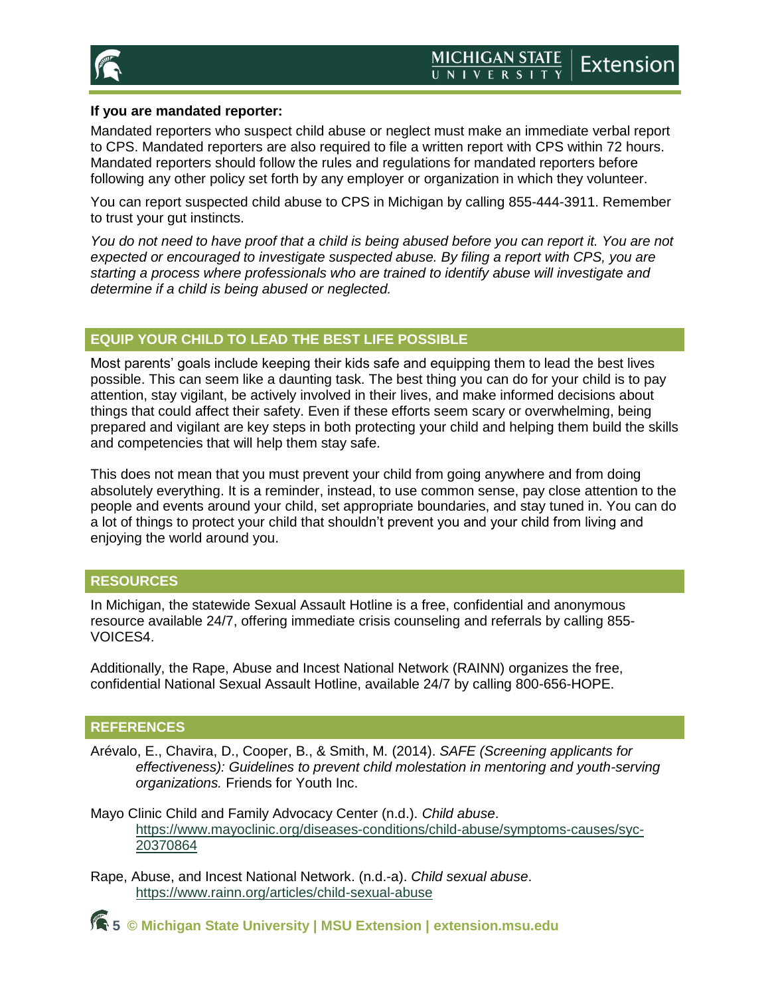

### **If you are mandated reporter:**

Mandated reporters who suspect child abuse or neglect must make an immediate verbal report to CPS. Mandated reporters are also required to file a written report with CPS within 72 hours. Mandated reporters should follow the rules and regulations for mandated reporters before following any other policy set forth by any employer or organization in which they volunteer.

You can report suspected child abuse to CPS in Michigan by calling 855-444-3911. Remember to trust your gut instincts.

You do not need to have proof that a child is being abused before you can report it. You are not *expected or encouraged to investigate suspected abuse. By filing a report with CPS, you are starting a process where professionals who are trained to identify abuse will investigate and determine if a child is being abused or neglected.*

## **EQUIP YOUR CHILD TO LEAD THE BEST LIFE POSSIBLE**

Most parents' goals include keeping their kids safe and equipping them to lead the best lives possible. This can seem like a daunting task. The best thing you can do for your child is to pay attention, stay vigilant, be actively involved in their lives, and make informed decisions about things that could affect their safety. Even if these efforts seem scary or overwhelming, being prepared and vigilant are key steps in both protecting your child and helping them build the skills and competencies that will help them stay safe.

This does not mean that you must prevent your child from going anywhere and from doing absolutely everything. It is a reminder, instead, to use common sense, pay close attention to the people and events around your child, set appropriate boundaries, and stay tuned in. You can do a lot of things to protect your child that shouldn't prevent you and your child from living and enjoying the world around you.

## **RESOURCES**

In Michigan, the statewide Sexual Assault Hotline is a free, confidential and anonymous resource available 24/7, offering immediate crisis counseling and referrals by calling 855- VOICES4.

Additionally, the Rape, Abuse and Incest National Network (RAINN) organizes the free, confidential National Sexual Assault Hotline, available 24/7 by calling 800-656-HOPE.

## **REFERENCES**

Arévalo, E., Chavira, D., Cooper, B., & Smith, M. (2014). *SAFE (Screening applicants for effectiveness): Guidelines to prevent child molestation in mentoring and youth-serving organizations.* Friends for Youth Inc.

Mayo Clinic Child and Family Advocacy Center (n.d.). *Child abuse*. [https://www.mayoclinic.org/diseases-conditions/child-abuse/symptoms-causes/syc-](https://www.mayoclinic.org/diseases-conditions/child-abuse/symptoms-causes/syc-20370864)[20370864](https://www.mayoclinic.org/diseases-conditions/child-abuse/symptoms-causes/syc-20370864)

Rape, Abuse, and Incest National Network. (n.d.-a). *Child sexual abuse*. <https://www.rainn.org/articles/child-sexual-abuse>

**5 © Michigan State University | MSU Extension | [extension.msu.edu](https://www.canr.msu.edu/outreach/)**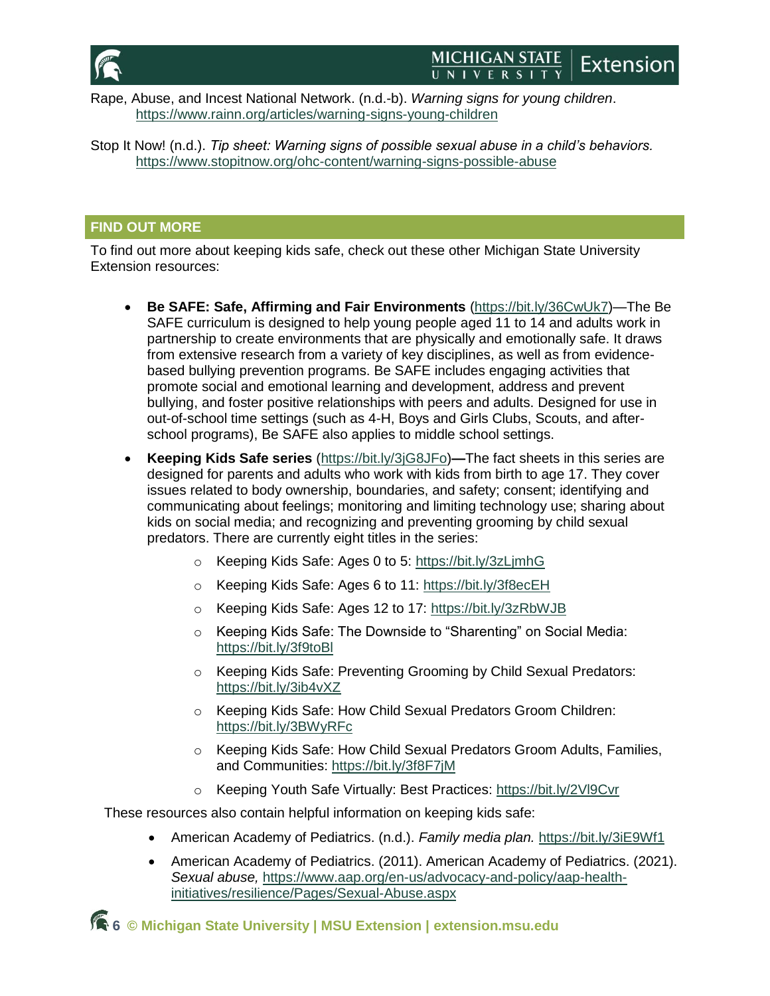

#### **MICHIGAN STATE Extension** UNIVERSITY

Rape, Abuse, and Incest National Network. (n.d.-b). *Warning signs for young children*. <https://www.rainn.org/articles/warning-signs-young-children>

Stop It Now! (n.d.). *Tip sheet: Warning signs of possible sexual abuse in a child's behaviors.*  <https://www.stopitnow.org/ohc-content/warning-signs-possible-abuse>

## **FIND OUT MORE**

To find out more about keeping kids safe, check out these other Michigan State University Extension resources:

- **Be SAFE: Safe, Affirming and Fair Environments** [\(https://bit.ly/36CwUk7\)](https://bit.ly/36CwUk7)—The Be SAFE curriculum is designed to help young people aged 11 to 14 and adults work in partnership to create environments that are physically and emotionally safe. It draws from extensive research from a variety of key disciplines, as well as from evidencebased bullying prevention programs. Be SAFE includes engaging activities that promote social and emotional learning and development, address and prevent bullying, and foster positive relationships with peers and adults. Designed for use in out-of-school time settings (such as 4-H, Boys and Girls Clubs, Scouts, and afterschool programs), Be SAFE also applies to middle school settings.
- **Keeping Kids Safe series** [\(https://bit.ly/3jG8JFo\)](https://bit.ly/3jG8JFo)**—**The fact sheets in this series are designed for parents and adults who work with kids from birth to age 17. They cover issues related to body ownership, boundaries, and safety; consent; identifying and communicating about feelings; monitoring and limiting technology use; sharing about kids on social media; and recognizing and preventing grooming by child sexual predators. There are currently eight titles in the series:
	- o Keeping Kids Safe: Ages 0 to 5:<https://bit.ly/3zLjmhG>
	- o Keeping Kids Safe: Ages 6 to 11:<https://bit.ly/3f8ecEH>
	- o Keeping Kids Safe: Ages 12 to 17:<https://bit.ly/3zRbWJB>
	- o Keeping Kids Safe: The Downside to "Sharenting" on Social Media: <https://bit.ly/3f9toBl>
	- o Keeping Kids Safe: Preventing Grooming by Child Sexual Predators: <https://bit.ly/3ib4vXZ>
	- o Keeping Kids Safe: How Child Sexual Predators Groom Children: <https://bit.ly/3BWyRFc>
	- o Keeping Kids Safe: How Child Sexual Predators Groom Adults, Families, and Communities:<https://bit.ly/3f8F7jM>
	- o Keeping Youth Safe Virtually: Best Practices:<https://bit.ly/2Vl9Cvr>

These resources also contain helpful information on keeping kids safe:

- American Academy of Pediatrics. (n.d.). *Family media plan.* <https://bit.ly/3iE9Wf1>
- American Academy of Pediatrics. (2011). American Academy of Pediatrics. (2021). *Sexual abuse,* [https://www.aap.org/en-us/advocacy-and-policy/aap-health](https://www.aap.org/en-us/advocacy-and-policy/aap-health-initiatives/resilience/Pages/Sexual-Abuse.aspx)[initiatives/resilience/Pages/Sexual-Abuse.aspx](https://www.aap.org/en-us/advocacy-and-policy/aap-health-initiatives/resilience/Pages/Sexual-Abuse.aspx)